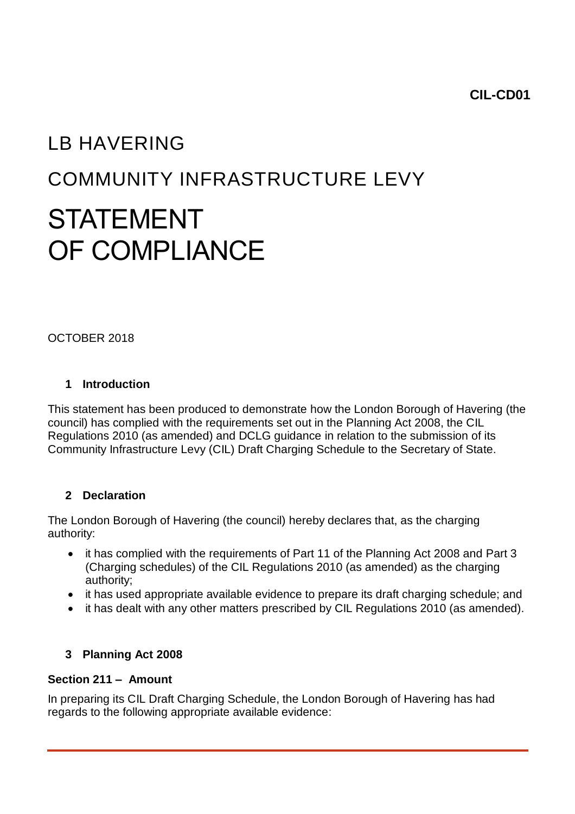**CIL-CD01**

# LB HAVERING COMMUNITY INFRASTRUCTURE LEVY STATEMENT OF COMPLIANCE

OCTOBER 2018

## **1 Introduction**

This statement has been produced to demonstrate how the London Borough of Havering (the council) has complied with the requirements set out in the Planning Act 2008, the CIL Regulations 2010 (as amended) and DCLG guidance in relation to the submission of its Community Infrastructure Levy (CIL) Draft Charging Schedule to the Secretary of State.

# **2 Declaration**

The London Borough of Havering (the council) hereby declares that, as the charging authority:

- it has complied with the requirements of Part 11 of the Planning Act 2008 and Part 3 (Charging schedules) of the CIL Regulations 2010 (as amended) as the charging authority;
- it has used appropriate available evidence to prepare its draft charging schedule; and
- it has dealt with any other matters prescribed by CIL Regulations 2010 (as amended).

# **3 Planning Act 2008**

## **Section 211 – Amount**

In preparing its CIL Draft Charging Schedule, the London Borough of Havering has had regards to the following appropriate available evidence: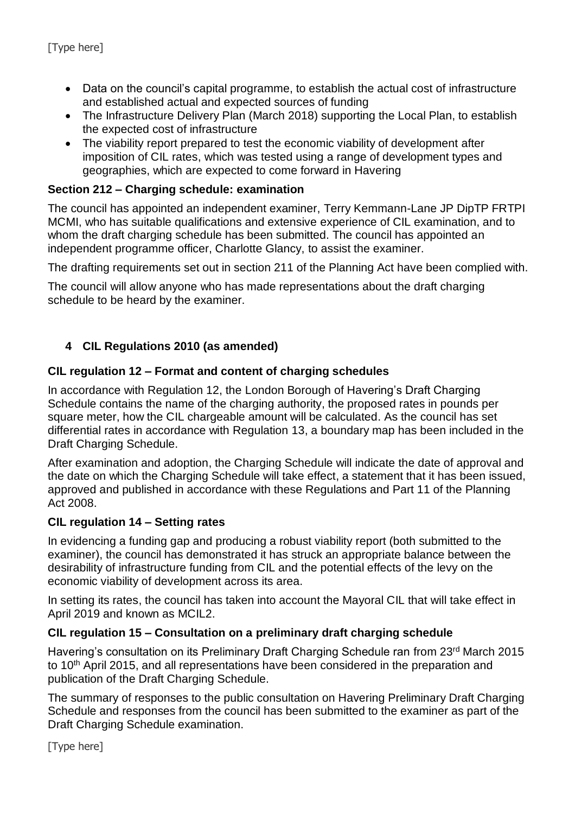- Data on the council's capital programme, to establish the actual cost of infrastructure and established actual and expected sources of funding
- The Infrastructure Delivery Plan (March 2018) supporting the Local Plan, to establish the expected cost of infrastructure
- The viability report prepared to test the economic viability of development after imposition of CIL rates, which was tested using a range of development types and geographies, which are expected to come forward in Havering

## **Section 212 – Charging schedule: examination**

The council has appointed an independent examiner, Terry Kemmann-Lane JP DipTP FRTPI MCMI, who has suitable qualifications and extensive experience of CIL examination, and to whom the draft charging schedule has been submitted. The council has appointed an independent programme officer, Charlotte Glancy, to assist the examiner.

The drafting requirements set out in section 211 of the Planning Act have been complied with.

The council will allow anyone who has made representations about the draft charging schedule to be heard by the examiner.

#### **4 CIL Regulations 2010 (as amended)**

#### **CIL regulation 12 – Format and content of charging schedules**

In accordance with Regulation 12, the London Borough of Havering's Draft Charging Schedule contains the name of the charging authority, the proposed rates in pounds per square meter, how the CIL chargeable amount will be calculated. As the council has set differential rates in accordance with Regulation 13, a boundary map has been included in the Draft Charging Schedule.

After examination and adoption, the Charging Schedule will indicate the date of approval and the date on which the Charging Schedule will take effect, a statement that it has been issued, approved and published in accordance with these Regulations and Part 11 of the Planning Act 2008.

#### **CIL regulation 14 – Setting rates**

In evidencing a funding gap and producing a robust viability report (both submitted to the examiner), the council has demonstrated it has struck an appropriate balance between the desirability of infrastructure funding from CIL and the potential effects of the levy on the economic viability of development across its area.

In setting its rates, the council has taken into account the Mayoral CIL that will take effect in April 2019 and known as MCIL2.

#### **CIL regulation 15 – Consultation on a preliminary draft charging schedule**

Havering's consultation on its Preliminary Draft Charging Schedule ran from 23<sup>rd</sup> March 2015 to 10<sup>th</sup> April 2015, and all representations have been considered in the preparation and publication of the Draft Charging Schedule.

The summary of responses to the public consultation on Havering Preliminary Draft Charging Schedule and responses from the council has been submitted to the examiner as part of the Draft Charging Schedule examination.

[Type here]